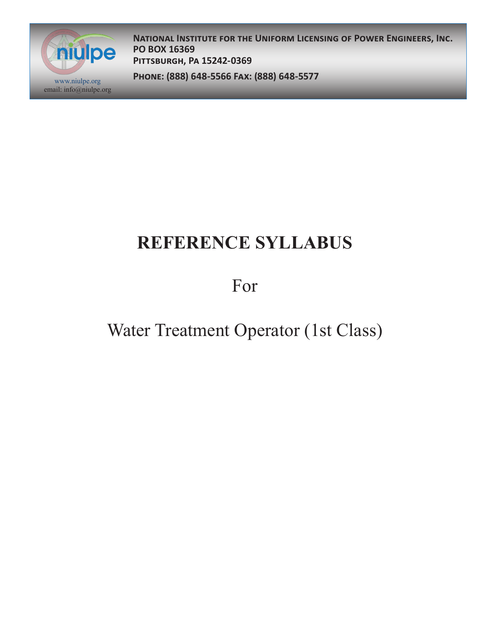

**National Institute for the Uniform Licensing of Power Engineers, Inc. PO BOX 16369 Pittsburgh, Pa 15242-0369**

**Phone: (888) 648-5566 Fax: (888) 648-5577** www.niulpe.org

# **REFERENCE SYLLABUS**

For

## Water Treatment Operator (1st Class)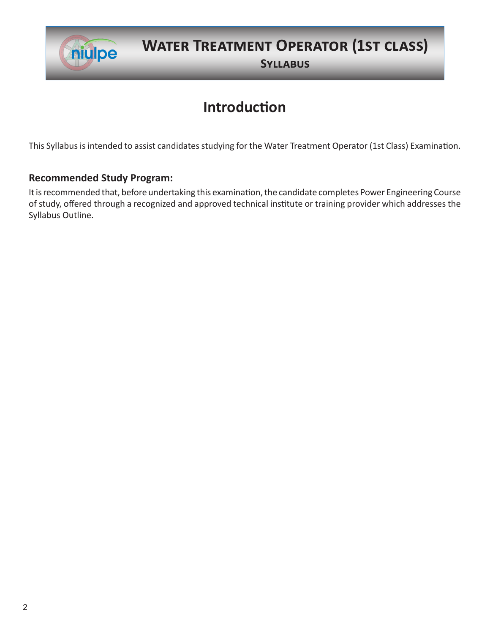

## **Water Treatment Operator (1st class)**

**Syllabus**

### **Introduction**

This Syllabus is intended to assist candidates studying for the Water Treatment Operator (1st Class) Examination.

#### **Recommended Study Program:**

It is recommended that, before undertaking this examination, the candidate completes Power Engineering Course of study, offered through a recognized and approved technical institute or training provider which addresses the Syllabus Outline.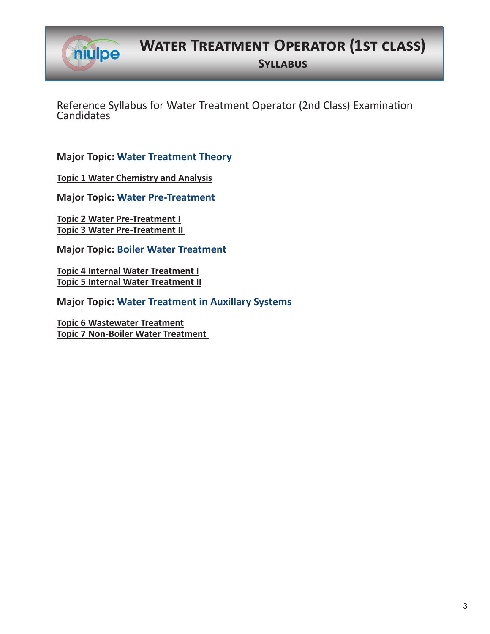

**Water Treatment Operator (1st class)**

**Syllabus**

Reference Syllabus for Water Treatment Operator (2nd Class) Examination **Candidates** 

**Major Topic: Water Treatment Theory**

**Topic 1 Water Chemistry and Analysis**

**Major Topic: Water Pre-Treatment**

**Topic 2 Water Pre-Treatment I Topic 3 Water Pre-Treatment II** 

**Major Topic: Boiler Water Treatment**

**Topic 4 Internal Water Treatment I Topic 5 Internal Water Treatment II**

**Major Topic: Water Treatment in Auxillary Systems**

**Topic 6 Wastewater Treatment Topic 7 Non-Boiler Water Treatment**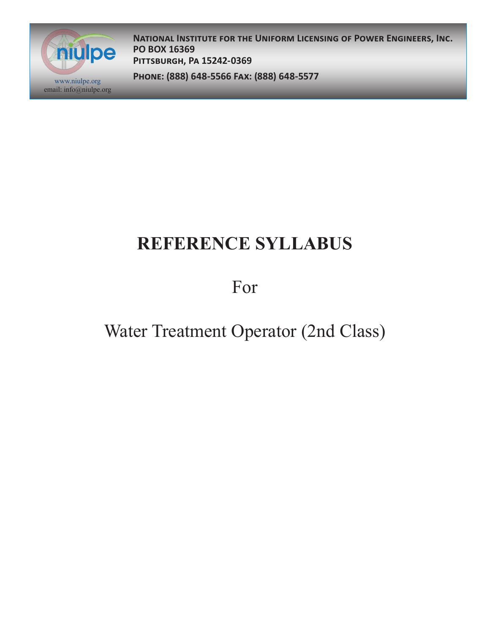

**National Institute for the Uniform Licensing of Power Engineers, Inc. PO BOX 16369 Pittsburgh, Pa 15242-0369**

**Phone: (888) 648-5566 Fax: (888) 648-5577** www.niulpe.org

# **REFERENCE SYLLABUS**

For

## Water Treatment Operator (2nd Class)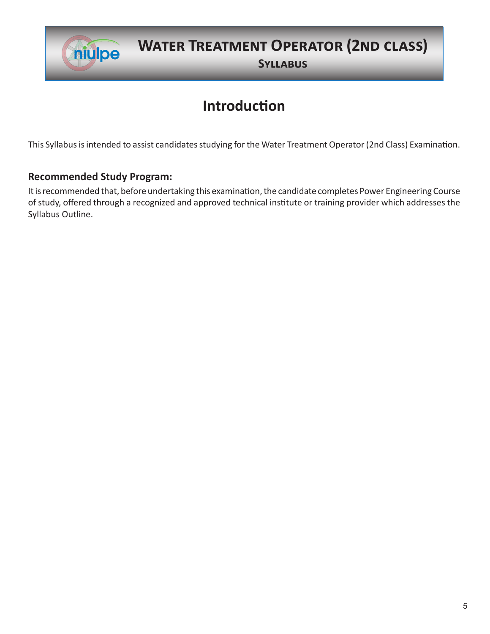

## **Water Treatment Operator (2nd class)**

**Syllabus**

## **Introduction**

This Syllabus is intended to assist candidates studying for the Water Treatment Operator (2nd Class) Examination.

#### **Recommended Study Program:**

It is recommended that, before undertaking this examination, the candidate completes Power Engineering Course of study, offered through a recognized and approved technical institute or training provider which addresses the Syllabus Outline.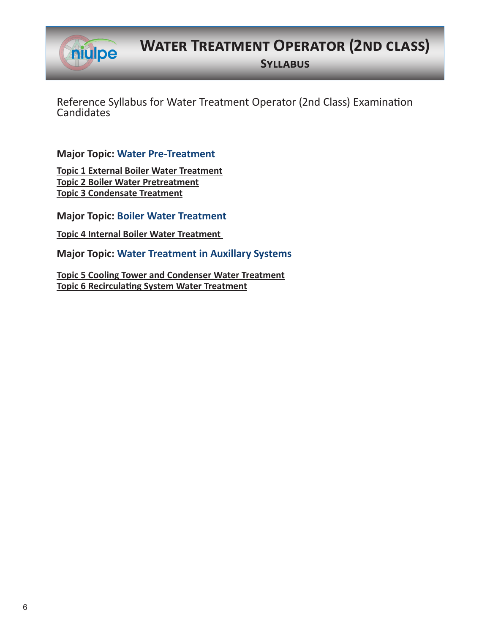niulpe

**Water Treatment Operator (2nd class)**

**Syllabus**

Reference Syllabus for Water Treatment Operator (2nd Class) Examination **Candidates** 

**Major Topic: Water Pre-Treatment**

**Topic 1 External Boiler Water Treatment Topic 2 Boiler Water Pretreatment Topic 3 Condensate Treatment**

**Major Topic: Boiler Water Treatment**

**Topic 4 Internal Boiler Water Treatment** 

**Major Topic: Water Treatment in Auxillary Systems**

**Topic 5 Cooling Tower and Condenser Water Treatment Topic 6 Recirculating System Water Treatment**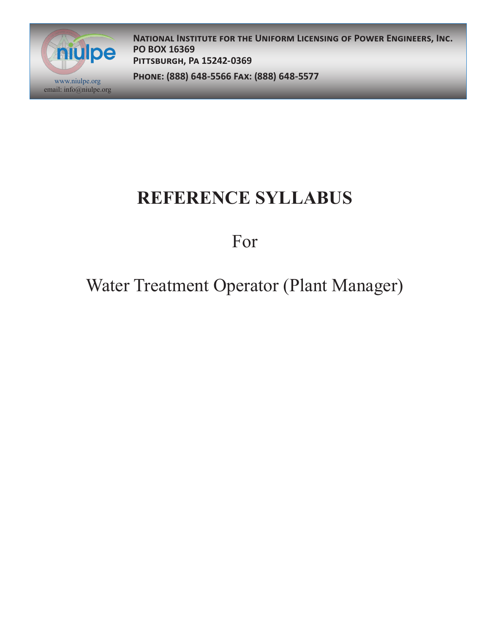

**National Institute for the Uniform Licensing of Power Engineers, Inc. PO BOX 16369 Pittsburgh, Pa 15242-0369**

**Phone: (888) 648-5566 Fax: (888) 648-5577** www.niulpe.org

## **REFERENCE SYLLABUS**

For

## Water Treatment Operator (Plant Manager)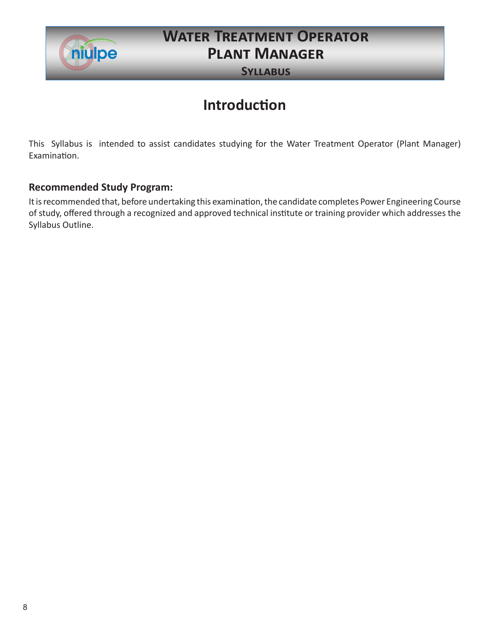

### **Water Treatment Operator Plant Manager**

**Syllabus**

### **Introduction**

This Syllabus is intended to assist candidates studying for the Water Treatment Operator (Plant Manager) Examination.

#### **Recommended Study Program:**

It is recommended that, before undertaking this examination, the candidate completes Power Engineering Course of study, offered through a recognized and approved technical institute or training provider which addresses the Syllabus Outline.